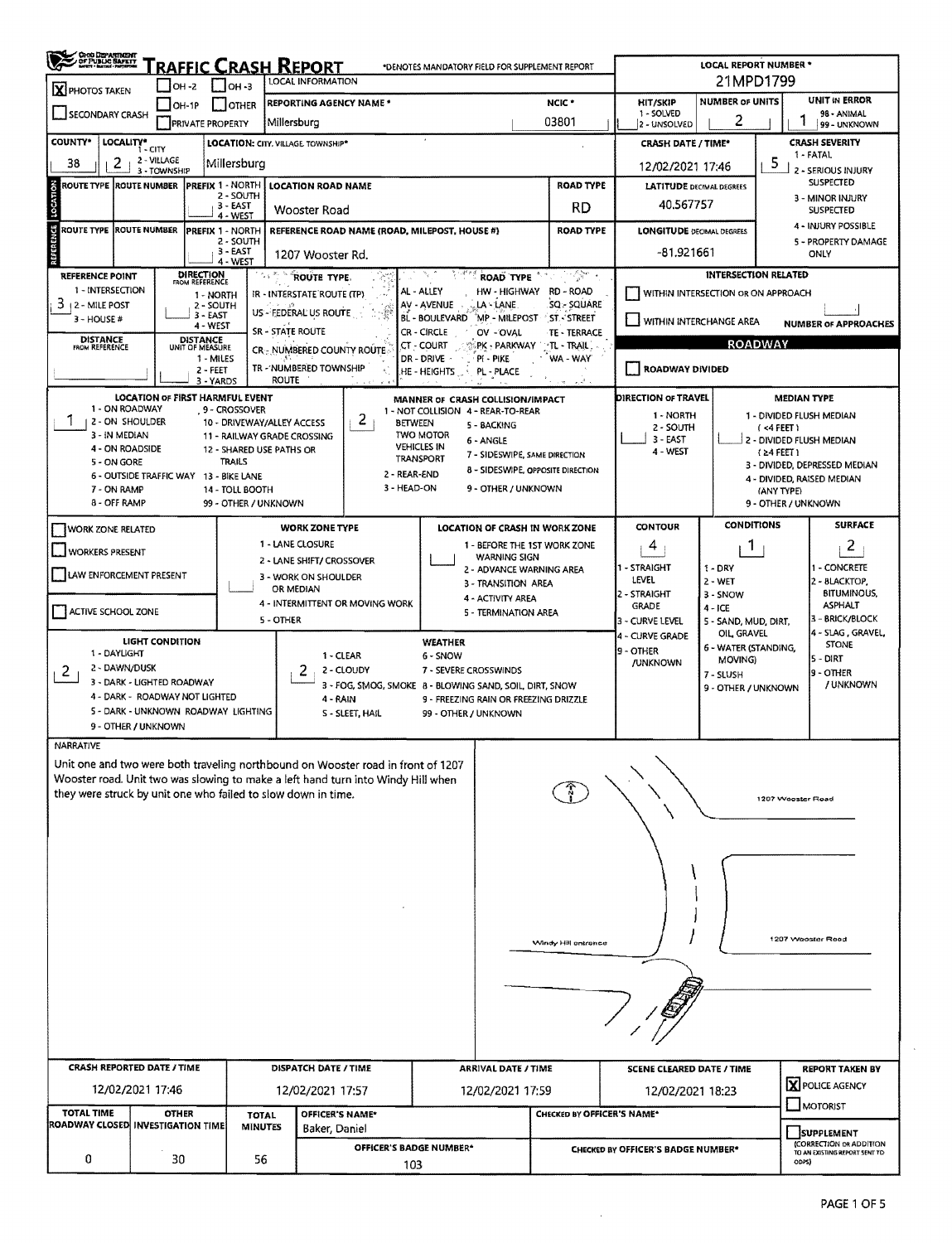| ORO DEPARTMENT                                                                                                                                                                                                                                     |                                                                          |                                                                                                                                                                                                                           | RAFFIC CRASH REPORT                                                                                                                                              |                                                    | *DENOTES MANDATORY FIELD FOR SUPPLEMENT REPORT                                                                                                                                  |                                                                                                                                                     |                                                                                                         |                                                                                                                                  | LOCAL REPORT NUMBER *                                                                                                                                           |                                                                                         |                                                                                                                                                                                |
|----------------------------------------------------------------------------------------------------------------------------------------------------------------------------------------------------------------------------------------------------|--------------------------------------------------------------------------|---------------------------------------------------------------------------------------------------------------------------------------------------------------------------------------------------------------------------|------------------------------------------------------------------------------------------------------------------------------------------------------------------|----------------------------------------------------|---------------------------------------------------------------------------------------------------------------------------------------------------------------------------------|-----------------------------------------------------------------------------------------------------------------------------------------------------|---------------------------------------------------------------------------------------------------------|----------------------------------------------------------------------------------------------------------------------------------|-----------------------------------------------------------------------------------------------------------------------------------------------------------------|-----------------------------------------------------------------------------------------|--------------------------------------------------------------------------------------------------------------------------------------------------------------------------------|
| X PHOTOS TAKEN                                                                                                                                                                                                                                     | OH -2                                                                    | $IOH - 3$                                                                                                                                                                                                                 | <b>LOCAL INFORMATION</b>                                                                                                                                         |                                                    |                                                                                                                                                                                 | 21MPD1799                                                                                                                                           |                                                                                                         |                                                                                                                                  |                                                                                                                                                                 |                                                                                         |                                                                                                                                                                                |
| SECONDARY CRASH                                                                                                                                                                                                                                    | OH-1P<br><b>PRIVATE PROPERTY</b>                                         | I Iother                                                                                                                                                                                                                  | REPORTING AGENCY NAME *<br>Millersburg                                                                                                                           |                                                    |                                                                                                                                                                                 |                                                                                                                                                     | NCIC *<br>03801                                                                                         | <b>HIT/SKIP</b><br>1 - SOLVED<br>2 - UNSOLVED                                                                                    | <b>NUMBER OF UNITS</b><br>2                                                                                                                                     |                                                                                         | <b>UNIT IN ERROR</b><br>98 - ANIMAL<br>99 - UNKNOWN                                                                                                                            |
| <b>COUNTY</b> *<br>LOCALITY* CITY                                                                                                                                                                                                                  |                                                                          |                                                                                                                                                                                                                           | LOCATION: CITY, VILLAGE, TOWNSHIP*                                                                                                                               |                                                    |                                                                                                                                                                                 |                                                                                                                                                     |                                                                                                         | <b>CRASH DATE / TIME*</b>                                                                                                        |                                                                                                                                                                 |                                                                                         | <b>CRASH SEVERITY</b><br>1 - FATAL                                                                                                                                             |
| 38<br>2<br>LOCATION                                                                                                                                                                                                                                | 2 - VILLAGE<br>3 - TOWNSHIP                                              | Millersburg                                                                                                                                                                                                               |                                                                                                                                                                  |                                                    |                                                                                                                                                                                 |                                                                                                                                                     |                                                                                                         | 12/02/2021 17:46                                                                                                                 |                                                                                                                                                                 | 5                                                                                       | 2 - SERIOUS INJURY<br><b>SUSPECTED</b>                                                                                                                                         |
| ROUTE TYPE  ROUTE NUMBER                                                                                                                                                                                                                           |                                                                          | <b>PREFIX 1 - NORTH</b><br>2 - SOUTH<br>3 - EAST                                                                                                                                                                          | <b>LOCATION ROAD NAME</b>                                                                                                                                        |                                                    |                                                                                                                                                                                 |                                                                                                                                                     | <b>ROAD TYPE</b><br>RD.                                                                                 | <b>LATITUDE DECIMAL DEGREES</b><br>40.567757                                                                                     |                                                                                                                                                                 |                                                                                         | 3 - MINOR INJURY                                                                                                                                                               |
| ROUTE TYPE IROUTE NUMBER                                                                                                                                                                                                                           |                                                                          | 4 - WEST<br><b>PREFIX 1 - NORTH</b>                                                                                                                                                                                       | Wooster Road                                                                                                                                                     |                                                    | REFERENCE ROAD NAME (ROAD, MILEPOST, HOUSE #)                                                                                                                                   |                                                                                                                                                     | <b>ROAD TYPE</b>                                                                                        | <b>LONGITUDE DECIMAL DEGREES</b>                                                                                                 |                                                                                                                                                                 |                                                                                         | <b>SUSPECTED</b><br>4 - INJURY POSSIBLE                                                                                                                                        |
|                                                                                                                                                                                                                                                    |                                                                          | 2 - SOUTH<br>3 - EAST<br>4 - WEST                                                                                                                                                                                         | 1207 Wooster Rd.                                                                                                                                                 |                                                    |                                                                                                                                                                                 |                                                                                                                                                     |                                                                                                         | -81.921661                                                                                                                       |                                                                                                                                                                 |                                                                                         | 5 - PROPERTY DAMAGE<br>ONLY                                                                                                                                                    |
| <b>REFERENCE POINT</b><br>1 - INTERSECTION<br>3.<br><b>12 - MILE POST</b><br>3 - HOUSE #<br><b>DISTANCE</b><br>FROM REFERENCE                                                                                                                      | <b>DIRECTION</b><br>FROM REFERENCE<br><b>DISTANCE</b><br>UNIT OF MEASURE | 1 - NORTH<br>2 - SOUTH<br>$3 - EAST$<br>4 - WEST<br>1 - MILES<br>$2 - FEET$                                                                                                                                               | ROUTE TYPE<br>IR - INTERSTATE ROUTE (TP)<br>US ~ FEDERAL US ROUTE<br>SR - STATE ROUTE<br>CR <sub>2</sub> NUMBERED COUNTY ROUTE<br>TR - NUMBERED TOWNSHIP         |                                                    | AL - ALLEY<br>AV - AVENUE<br>BL - BOULEVARD<br>CR - CIRCLE<br>CT - COURT<br>DR - DRIVE<br>PI - PIKE<br>$HE - HEIGHTS \rightarrow$                                               | ROAD TYPE<br>HW - HIGHWAY<br>LA - LANE<br>MP - MILEPOST<br>OV - OVAL<br><b>PK - PARKWAY</b><br>PL - PLACE                                           | 77 July 2007<br>RD - ROAD<br>SQ - SQUARE<br><b>ST-STREET</b><br>TE - TERRACE<br>∵TL - TRAIL<br>WA - WAY | <b>ROADWAY DIVIDED</b>                                                                                                           | <b>INTERSECTION RELATED</b><br>WITHIN INTERSECTION OR ON APPROACH<br>WITHIN INTERCHANGE AREA<br><b>ROADWAY</b>                                                  |                                                                                         | <b>NUMBER OF APPROACHES</b>                                                                                                                                                    |
| 1 - ON ROADWAY<br>7<br>2 - ON SHOULDER<br>3 - IN MEDIAN<br>4 - ON ROADSIDE<br>5 - ON GORE<br>6 - OUTSIDE TRAFFIC WAY 13 - BIKE LANE<br>7 - ON RAMP<br>8 - OFF RAMP                                                                                 |                                                                          | 3 - YARDS<br><b>LOCATION OF FIRST HARMFUL EVENT</b><br>9 - CROSSOVER<br>10 - DRIVEWAY/ALLEY ACCESS<br>11 - RAILWAY GRADE CROSSING<br>12 - SHARED USE PATHS OR<br><b>TRAILS</b><br>14 - TOLL BOOTH<br>99 - OTHER / UNKNOWN | <b>ROUTE</b>                                                                                                                                                     | 2<br><b>BETWEEN</b><br>2 - REAR-END<br>3 - HEAD-ON | MANNER OF CRASH COLLISION/IMPACT<br>1 - NOT COLLISION 4 - REAR-TO-REAR<br>5 - BACKING<br><b>TWO MOTOR</b><br>6 - ANGLE<br><b>VEHICLES IN</b><br>TRANSPORT                       | 7 - SIDESWIPE, SAME DIRECTION<br>8 - SIDESWIPE, OPPOSITE DIRECTION<br>9 - OTHER / UNKNOWN                                                           |                                                                                                         | DIRECTION OF TRAVEL<br>1 - NORTH<br>2 - SOUTH<br>3 - EAST<br>4 - WEST                                                            |                                                                                                                                                                 | <b>MEDIAN TYPE</b><br>$($ <4 FEET $)$<br>(24 FEET)<br>(ANY TYPE)<br>9 - OTHER / UNKNOWN | 1 - DIVIDED FLUSH MEDIAN<br>2 - DIVIDED FLUSH MEDIAN<br>3 - DIVIDED, DEPRESSED MEDIAN<br>4 - DIVIDED, RAISED MEDIAN                                                            |
| WORK ZONE RELATED                                                                                                                                                                                                                                  |                                                                          |                                                                                                                                                                                                                           | <b>WORK ZONE TYPE</b>                                                                                                                                            |                                                    | <b>LOCATION OF CRASH IN WORK ZONE</b>                                                                                                                                           |                                                                                                                                                     |                                                                                                         | <b>CONTOUR</b>                                                                                                                   | <b>CONDITIONS</b>                                                                                                                                               |                                                                                         | <b>SURFACE</b>                                                                                                                                                                 |
| <b>WORKERS PRESENT</b><br><b>LAW ENFORCEMENT PRESENT</b><br>ACTIVE SCHOOL ZONE<br>1 - DAYLIGHT<br>2 - DAWN/DUSK<br>2<br>3 - DARK - LIGHTED ROADWAY<br>4 - DARK - ROADWAY NOT LIGHTED<br>5 - DARK - UNKNOWN ROADWAY LIGHTING<br>9 - OTHER / UNKNOWN | LIGHT CONDITION                                                          |                                                                                                                                                                                                                           | 1 - LANE CLOSURE<br>2 - LANE SHIFT/ CROSSOVER<br>3 - WORK ON SHOULDER<br>OR MEDIAN<br>4 - INTERMITTENT OR MOVING WORK<br>5 - OTHER<br>1 - CLEAR<br>2<br>4 - RAIN | 2 - CLOUDY<br>S - SLEET, HAIL                      | <b>WEATHER</b><br>6 - SNOW<br>7 - SEVERE CROSSWINDS<br>3 - FOG, SMOG, SMOKE 8 - BLOWING SAND, SOIL, DIRT, SNOW<br>9 - FREEZING RAIN OR FREEZING DRIZZLE<br>99 - OTHER / UNKNOWN | 1 - BEFORE THE 1ST WORK ZONE<br><b>WARNING SIGN</b><br>2 - ADVANCE WARNING AREA<br>3 - TRANSITION AREA<br>4 - ACTIVITY AREA<br>5 - TERMINATION AREA |                                                                                                         | 4<br>1 - STRAIGHT<br>LEVEL<br>2 - STRAIGHT<br><b>GRADE</b><br>3 - CURVE LEVEL<br>4 - CURVE GRADE<br>9 - OTHER<br><b>/UNKNOWN</b> | 1<br>1 - DRY<br>$2 - WET$<br>3 - SNOW<br>$4 - ICE$<br>5 - SAND, MUD, DIRT,<br>OIL GRAVEL<br>6 - WATER (STANDING,<br>MOVING)<br>7 - SLUSH<br>9 - OTHER / UNKNOWN |                                                                                         | $\overline{2}$<br>1 - CONCRETE<br>2 - BLACKTOP,<br><b>BITUMINOUS.</b><br><b>ASPHALT</b><br>3 - BRICK/BLOCK<br>4 - SLAG, GRAVEL,<br>STONE<br>5 - DIRT<br>9 - OTHER<br>/ UNKNOWN |
| NARRATIVE<br>Unit one and two were both traveling northbound on Wooster road in front of 1207<br>Wooster road. Unit two was slowing to make a left hand turn into Windy Hill when<br>they were struck by unit one who failed to slow down in time. |                                                                          |                                                                                                                                                                                                                           |                                                                                                                                                                  |                                                    |                                                                                                                                                                                 |                                                                                                                                                     | Windy Hill ontrance                                                                                     |                                                                                                                                  |                                                                                                                                                                 | 1207 Wooster Road                                                                       | 1207 Wooster Road                                                                                                                                                              |
|                                                                                                                                                                                                                                                    |                                                                          |                                                                                                                                                                                                                           | DISPATCH DATE / TIME                                                                                                                                             |                                                    |                                                                                                                                                                                 | <b>ARRIVAL DATE / TIME</b>                                                                                                                          |                                                                                                         | <b>SCENE CLEARED DATE / TIME</b>                                                                                                 |                                                                                                                                                                 |                                                                                         | <b>REPORT TAKEN BY</b>                                                                                                                                                         |
| <b>CRASH REPORTED DATE / TIME</b>                                                                                                                                                                                                                  |                                                                          |                                                                                                                                                                                                                           | 12/02/2021 17:57                                                                                                                                                 |                                                    |                                                                                                                                                                                 | 12/02/2021 17:59                                                                                                                                    |                                                                                                         | 12/02/2021 18:23                                                                                                                 |                                                                                                                                                                 |                                                                                         | X POLICE AGENCY                                                                                                                                                                |
| 12/02/2021 17:46                                                                                                                                                                                                                                   |                                                                          |                                                                                                                                                                                                                           |                                                                                                                                                                  |                                                    |                                                                                                                                                                                 |                                                                                                                                                     |                                                                                                         |                                                                                                                                  |                                                                                                                                                                 |                                                                                         | <b>MOTORIST</b>                                                                                                                                                                |
| <b>TOTAL TIME</b><br>ROADWAY CLOSED INVESTIGATION TIME                                                                                                                                                                                             | <b>OTHER</b>                                                             | <b>TOTAL</b><br><b>MINUTES</b>                                                                                                                                                                                            | <b>OFFICER'S NAME*</b><br>Baker, Daniel                                                                                                                          |                                                    |                                                                                                                                                                                 |                                                                                                                                                     | CHECKED BY OFFICER'S NAME*                                                                              |                                                                                                                                  |                                                                                                                                                                 |                                                                                         | SUPPLEMENT<br>(CORRECTION OR ADDITION                                                                                                                                          |

 $\sim 10^6$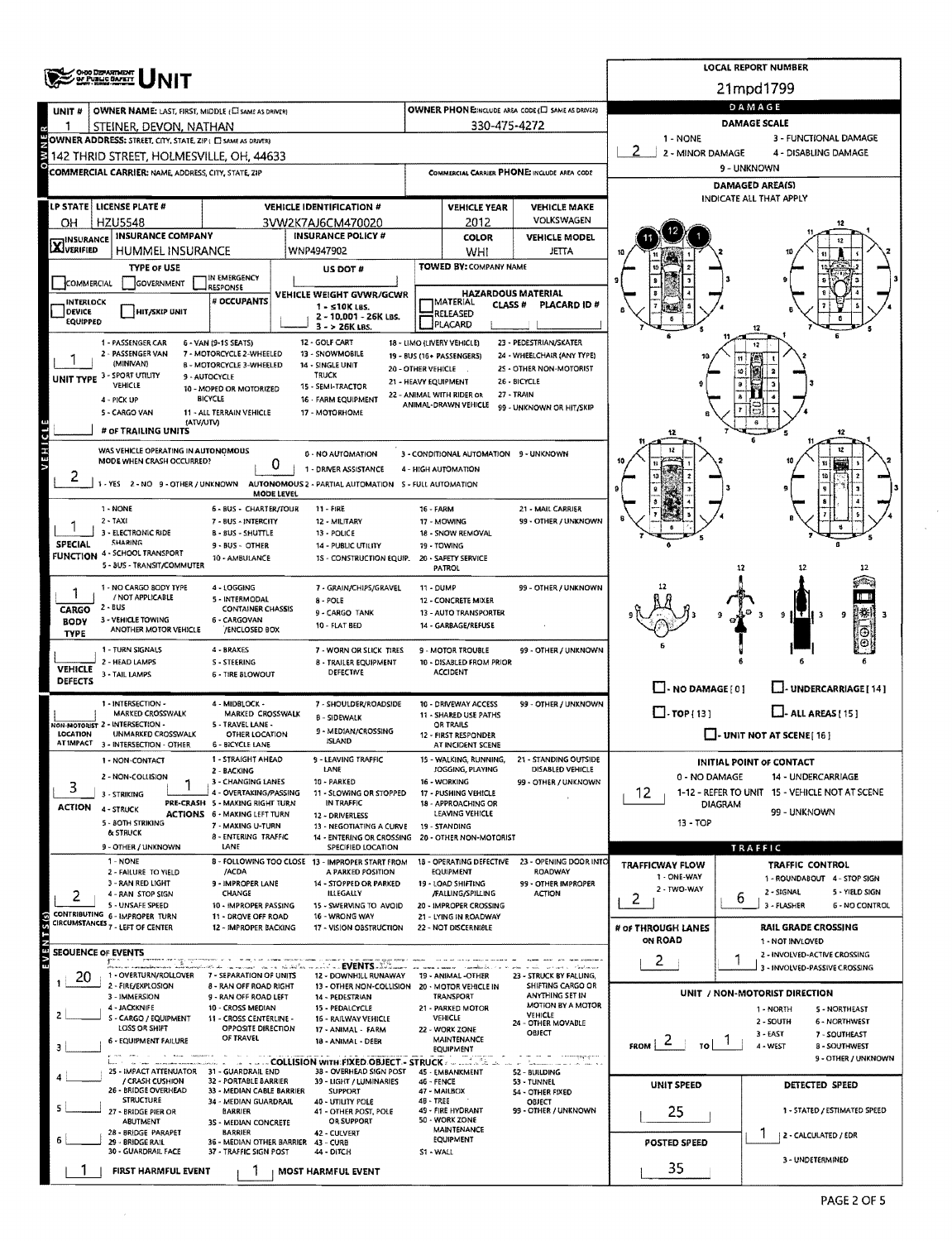|                                                                                                            |                                                                                                                                               |                                                               |                                                                                |                                             |                                                   |                                                      |                                                         | <b>LOCAL REPORT NUMBER</b>                                    |                                                                 |  |  |  |  |  |
|------------------------------------------------------------------------------------------------------------|-----------------------------------------------------------------------------------------------------------------------------------------------|---------------------------------------------------------------|--------------------------------------------------------------------------------|---------------------------------------------|---------------------------------------------------|------------------------------------------------------|---------------------------------------------------------|---------------------------------------------------------------|-----------------------------------------------------------------|--|--|--|--|--|
|                                                                                                            | <b>ORIO DEPARTMENT</b><br>OF PUBLIC BAFETT                                                                                                    |                                                               |                                                                                |                                             |                                                   |                                                      | 21mpd1799                                               |                                                               |                                                                 |  |  |  |  |  |
| UNIT <sub>#</sub>                                                                                          | OWNER NAME: LAST, FIRST, MIDDLE (C) SAME AS DRIVERY                                                                                           |                                                               |                                                                                |                                             |                                                   | OWNER PHONE: MCLUDE AREA CODE (L) SAME AS DRIVER)    | DAMAGE                                                  |                                                               |                                                                 |  |  |  |  |  |
|                                                                                                            | STEINER, DEVON, NATHAN                                                                                                                        |                                                               |                                                                                | 330-475-4272                                |                                                   |                                                      | <b>DAMAGE SCALE</b>                                     |                                                               |                                                                 |  |  |  |  |  |
|                                                                                                            | OWNER ADDRESS: STREET, CITY, STATE, ZIP ( E) SAME AS DRIVER)                                                                                  |                                                               |                                                                                | 1 - NONE                                    |                                                   | 3 - FUNCTIONAL DAMAGE                                |                                                         |                                                               |                                                                 |  |  |  |  |  |
|                                                                                                            | 142 THRID STREET, HOLMESVILLE, OH, 44633                                                                                                      |                                                               |                                                                                |                                             |                                                   |                                                      | 2 - MINOR DAMAGE<br>4 - DISABLING DAMAGE<br>9 - UNKNOWN |                                                               |                                                                 |  |  |  |  |  |
|                                                                                                            | COMMERCIAL CARRIER: NAME, ADDRESS, CITY, STATE, ZIP                                                                                           |                                                               |                                                                                | COMMERCIAL CARRIER PHONE: INCLUDE AREA CODE |                                                   |                                                      | DAMAGED AREA(S)                                         |                                                               |                                                                 |  |  |  |  |  |
|                                                                                                            |                                                                                                                                               |                                                               |                                                                                |                                             |                                                   |                                                      |                                                         | INDICATE ALL THAT APPLY                                       |                                                                 |  |  |  |  |  |
| LP STATE   LICENSE PLATE #<br><b>VEHICLE IDENTIFICATION #</b><br><b>HZU5548</b><br>3VW2K7AJ6CM470020<br>OН |                                                                                                                                               |                                                               |                                                                                |                                             | <b>VEHICLE YEAR</b><br>2012                       | <b>VEHICLE MAKE</b><br>VOLKSWAGEN                    |                                                         |                                                               |                                                                 |  |  |  |  |  |
|                                                                                                            | <b>INSURANCE COMPANY</b><br><b>INSURANCE POLICY #</b>                                                                                         |                                                               |                                                                                |                                             | <b>COLOR</b>                                      | <b>VEHICLE MODEL</b>                                 |                                                         |                                                               |                                                                 |  |  |  |  |  |
| <b>X</b> INSURANCE                                                                                         | HUMMEL INSURANCE                                                                                                                              |                                                               | WNP4947902                                                                     |                                             | WHI                                               | JETTA                                                |                                                         |                                                               |                                                                 |  |  |  |  |  |
|                                                                                                            | <b>TYPE OF USE</b>                                                                                                                            | IN EMERGENCY                                                  | US DOT #                                                                       |                                             | TOWED BY: COMPANY NAME                            |                                                      |                                                         |                                                               |                                                                 |  |  |  |  |  |
| GOVERNMENT<br>COMMERCIAL<br>RESPONSE<br>VEHICLE WEIGHT GVWR/GCWR                                           |                                                                                                                                               |                                                               |                                                                                |                                             | <b>HAZARDOUS MATERIAL</b>                         |                                                      |                                                         |                                                               |                                                                 |  |  |  |  |  |
| <b>INTERLOCK</b><br><b>DEVICE</b>                                                                          | HIT/SKIP UNIT                                                                                                                                 | <b># OCCUPANTS</b>                                            | $1 - 510K$ LBS.<br>2 - 10,001 - 26K LBS.                                       |                                             | <b>MATERIAL</b><br>CLASS#<br>RELEASED             | PLACARD ID#                                          |                                                         |                                                               |                                                                 |  |  |  |  |  |
| EQUIPPED                                                                                                   |                                                                                                                                               |                                                               | $3 - 26K$ LBS.                                                                 |                                             | PLACARD                                           |                                                      |                                                         |                                                               |                                                                 |  |  |  |  |  |
|                                                                                                            | 1 - PASSENGER CAR<br>2 - PASSENGER VAN                                                                                                        | 6 - VAN (9-1S SEATS)<br>7 - MOTORCYCLE 2-WHEELED              | 12 - GOLF CART<br>13 - SNOWMOBILE                                              |                                             | 18 - LIMO (LIVERY VEHICLE)                        | 23 - PEDESTRIAN/SKATER<br>24 - WHEELCHAIR (ANY TYPE) |                                                         |                                                               |                                                                 |  |  |  |  |  |
|                                                                                                            | (MINIVAN)                                                                                                                                     | <b>B - MOTORCYCLE 3-WHEELED</b>                               | 14 - SINGLE UNIT                                                               |                                             | 19 - BUS (16+ PASSENGERS)<br>20 - OTHER VEHICLE   | 25 - OTHER NON-MOTORIST                              |                                                         |                                                               |                                                                 |  |  |  |  |  |
|                                                                                                            | UNIT TYPE 3 - SPORT UTILITY<br>VEHICLE                                                                                                        | 9 - AUTOCYCLE<br>10 - MOPED OR MOTORIZED                      | <b>TRUCK</b><br>15 - SEMI-TRACTOR                                              | 21 - HEAVY EQUIPMENT                        |                                                   | 26 - BICYCLE                                         |                                                         |                                                               |                                                                 |  |  |  |  |  |
|                                                                                                            | 4 - PICK UP                                                                                                                                   | <b>BICYCLE</b>                                                | 16 - FARM EQUIPMENT                                                            |                                             | 22 - ANIMAL WITH RIDER OR<br>ANIMAL-DRAWN VEHICLE | 27 - TRAIN<br>99 - UNKNOWN OR HIT/SKIP               |                                                         |                                                               |                                                                 |  |  |  |  |  |
|                                                                                                            | 5 - CARGO VAN<br>(ATV/UTV)                                                                                                                    | 11 - ALL TERRAIN VEHICLE                                      | 17 - MOTORHOME                                                                 |                                             |                                                   |                                                      |                                                         |                                                               |                                                                 |  |  |  |  |  |
|                                                                                                            | # OF TRAILING UNITS                                                                                                                           |                                                               |                                                                                |                                             |                                                   |                                                      |                                                         |                                                               | 12                                                              |  |  |  |  |  |
| VEHICLE                                                                                                    | WAS VEHICLE OPERATING IN AUTONOMOUS<br>MODE WHEN CRASH OCCURRED?                                                                              | 0                                                             | 0 - NO AUTOMATION                                                              |                                             | 3 - CONDITIONAL AUTOMATION 9 - UNKNOWN            |                                                      |                                                         |                                                               | 12                                                              |  |  |  |  |  |
| 2                                                                                                          | 1 - YES 2 - NO 9 - OTHER / UNKNOWN                                                                                                            |                                                               | 1 - DRIVER ASSISTANCE<br>AUTONOMOUS 2 - PARTIAL AUTOMATION 5 - FULL AUTOMATION |                                             | 4 - HIGH AUTOMATION                               |                                                      |                                                         |                                                               |                                                                 |  |  |  |  |  |
|                                                                                                            |                                                                                                                                               | <b>MODE LEVEL</b>                                             |                                                                                |                                             |                                                   |                                                      |                                                         |                                                               |                                                                 |  |  |  |  |  |
|                                                                                                            | 1 - NONE<br>$2 - TAXI$                                                                                                                        | 6 - BUS - CHARTER/TOUR<br>7 - BUS - INTERCITY                 | 11 - FIRE<br>12 - MILITARY                                                     | <b>16 - FARM</b>                            | 17 - MOWING                                       | 21 - MAIL CARRIER<br>99 - OTHER / UNKNOWN            |                                                         |                                                               |                                                                 |  |  |  |  |  |
|                                                                                                            | 3 - ELECTRONIC RIDE                                                                                                                           | <b>B-BUS-SHUTTLE</b>                                          | 13 - POLICE                                                                    |                                             | 18 - SNOW REMOVAL                                 |                                                      |                                                         |                                                               |                                                                 |  |  |  |  |  |
|                                                                                                            | <b>SHARING</b><br>SPECIAL<br>9 - BUS - OTHER<br>14 - PUBLIC UTILITY<br>FUNCTION 4 - SCHOOL TRANSPORT<br>10 - AMBULANCE                        |                                                               |                                                                                |                                             | 19 - TOWING<br>20 - SAFETY SERVICE                |                                                      |                                                         |                                                               |                                                                 |  |  |  |  |  |
|                                                                                                            | 5 - BUS - TRANSIT/COMMUTER                                                                                                                    |                                                               | 1S - CONSTRUCTION EQUIP.                                                       |                                             | PATROL                                            |                                                      |                                                         | 12                                                            |                                                                 |  |  |  |  |  |
|                                                                                                            | 1 - NO CARGO BODY TYPE                                                                                                                        | 4 - LOGGING                                                   | 7 - GRAIN/CHIPS/GRAVEL                                                         | 11 - DUMP                                   |                                                   | 99 - OTHER / UNKNOWN                                 |                                                         |                                                               |                                                                 |  |  |  |  |  |
| CARGO                                                                                                      | / NOT APPLICABLE<br>2 - BUS                                                                                                                   | 5 - INTERMODAL<br><b>CONTAINER CHASSIS</b>                    | $8 - POLE$<br>9 - CARGO TANK                                                   |                                             | 12 - CONCRETE MIXER<br>13 - AUTO TRANSPORTER      |                                                      |                                                         |                                                               | 莊王<br>9                                                         |  |  |  |  |  |
| <b>BODY</b>                                                                                                | 3 - VEHICLE TOWING<br>ANOTHER MOTOR VEHICLE                                                                                                   | 6 - CARGOVAN<br>/ENCLOSED BOX                                 | 10 - FLAT BED                                                                  |                                             | 14 - GARBAGE/REFUSE                               |                                                      |                                                         |                                                               |                                                                 |  |  |  |  |  |
| <b>TYPE</b>                                                                                                | 1 - TURN SIGNALS                                                                                                                              | 4 - BRAKES                                                    | 7 - WORN OR SLICK TIRES                                                        |                                             | 9 - MOTOR TROUBLE                                 | 99 - OTHER / UNKNOWN                                 |                                                         |                                                               |                                                                 |  |  |  |  |  |
| <b>VEHICLE</b>                                                                                             | 2 - HEAD LAMPS                                                                                                                                | S - STEERING                                                  | 8 - TRAILER EOUIPMENT                                                          |                                             | 10 - DISABLED FROM PRIOR                          |                                                      |                                                         |                                                               |                                                                 |  |  |  |  |  |
| <b>DEFECTS</b>                                                                                             | 3 - TAIL LAMPS                                                                                                                                | 6 - TIRE BLOWOUT                                              | DEFECTIVE                                                                      |                                             | <b>ACCIDENT</b>                                   |                                                      | $\Box$ - NO DAMAGE [ 0 ]                                |                                                               | J- UNDERCARRIAGE [ 14 ]                                         |  |  |  |  |  |
|                                                                                                            | 1 - INTERSECTION -                                                                                                                            | 4 - MIDBLOCK -                                                | 7 - SHOULDER/ROADSIDE                                                          |                                             | 10 - DRIVEWAY ACCESS                              | 99 - OTHER / UNKNOWN                                 |                                                         |                                                               |                                                                 |  |  |  |  |  |
|                                                                                                            | <b>MARKED CROSSWALK</b><br>VON-MOTORIST 2 - INTERSECTION -                                                                                    | <b>MARKED CROSSWALK</b><br>5 - TRAVEL LANE -                  | <b>B - SIDEWALK</b>                                                            |                                             | 11 - SHARED USE PATHS<br>OR TRAILS                |                                                      | $\Box$ -TOP [13]                                        |                                                               | $L$ -ALL AREAS (15)                                             |  |  |  |  |  |
| LOCATION                                                                                                   | 9 - MEDIAN/CROSSING<br><b>UNMARKED CROSSWALK</b><br>OTHER LOCATION<br>ISLAND<br>AT IMPACT 3 - INTERSECTION - OTHER<br><b>6 - BICYCLE LANE</b> |                                                               |                                                                                |                                             | 12 - FIRST RESPONDER<br>AT INCIDENT SCENE         |                                                      |                                                         |                                                               | $\Box$ - UNIT NOT AT SCENE[16]                                  |  |  |  |  |  |
|                                                                                                            | 1 - NON-CONTACT                                                                                                                               | 1 - STRAIGHT AHEAD                                            | ·LEAVING TRAFFIC                                                               |                                             | 15 - WALKING, RUNNING,                            | 21 - STANDING OUTSIDE                                |                                                         | INITIAL POINT OF CONTACT                                      |                                                                 |  |  |  |  |  |
|                                                                                                            | 2 - NON-COLLISION                                                                                                                             | 2 - BACKING<br>3 - CHANGING LANES                             | LANE<br>10 - PARKED                                                            |                                             | JOGGING, PLAYING<br>16 - WORKING                  | DISABLED VEHICLE<br>99 - OTHER / UNKNOWN             | 0 - NO DAMAGE                                           |                                                               | 14 - UNDERCARRIAGE                                              |  |  |  |  |  |
| 3                                                                                                          | 3 - STRIKING                                                                                                                                  | 4 - OVERTAKING/PASSING<br>PRE-CRASH 5 - MAKING RIGHT TURN     | 11 - SLOWING OR STOPPED<br>IN TRAFFIC                                          |                                             | 17 - PUSHING VEHICLE<br>18 - APPROACHING OR       |                                                      | 12                                                      |                                                               | 1-12 - REFER TO UNIT 15 - VEHICLE NOT AT SCENE                  |  |  |  |  |  |
| <b>ACTION</b>                                                                                              | 4 - STRUCK                                                                                                                                    | ACTIONS 6 - MAXING LEFT TURN                                  | 12 - DRIVERLESS                                                                |                                             | LEAVING VEHICLE                                   |                                                      | <b>DIAGRAM</b><br>99 - UNKNOWN                          |                                                               |                                                                 |  |  |  |  |  |
|                                                                                                            | 5 - 80TH STRIKING<br>& STRUCK                                                                                                                 | 7 - MAKING U-TURN<br>8 - ENTERING TRAFFIC                     | 13 - NEGOTIATING A CURVE<br>14 - ENTERING OR CROSSING 20 - OTHER NON-MOTORIST  |                                             | 19 - STANDING                                     |                                                      | 13 - TOP                                                |                                                               |                                                                 |  |  |  |  |  |
|                                                                                                            | 9 - OTHER / UNKNOWN                                                                                                                           | LANE                                                          | SPECIFIED LOCATION                                                             |                                             |                                                   |                                                      |                                                         | TRAFFIC                                                       |                                                                 |  |  |  |  |  |
|                                                                                                            | 1 - NONE<br>2 - FAILURE TO YIELD                                                                                                              | /ACDA                                                         | 8 - FOLLOWING TOO CLOSE 13 - IMPROPER START FROM<br>A PARKED POSITION          |                                             | 18 - OPERATING DEFECTIVE<br>EQUIPMENT             | 23 - OPENING DOOR INTO<br>ROADWAY                    | <b>TRAFFICWAY FLOW</b><br>1 - ONE-WAY                   |                                                               | TRAFFIC CONTROL<br>1 - ROUNDABOUT 4 - STOP SIGN                 |  |  |  |  |  |
| 2                                                                                                          | 3 - RAN RED LIGHT<br>4 - RAN STOP SIGN                                                                                                        | 9 - IMPROPER LANE<br>CHANGE                                   | 14 - STOPPED OR PARKED<br><b>ILLEGALLY</b>                                     |                                             | 19 - LOAD SHIFTING<br>/FALLING/SPILLING           | 99 - OTHER IMPROPER<br><b>ACTION</b>                 | 2 - TWO-WAY                                             |                                                               | 2 - SIGNAL<br>5 - YIELD SIGN                                    |  |  |  |  |  |
|                                                                                                            | 5 - UNSAFE SPEED<br>CONTRIBUTING 6 - IMPROPER TURN                                                                                            | 10 - IMPROPER PASSING                                         | 15 - SWERVING TO AVOID                                                         |                                             | 20 - IMPROPER CROSSING                            |                                                      | 2                                                       | 6                                                             | 3 - FLASHER<br><b>6 - NO CONTROL</b>                            |  |  |  |  |  |
| EVENTS(s)                                                                                                  | CIRCUMSTANCES 7 - LEFT OF CENTER                                                                                                              | 11 - DROVE OFF ROAD<br>12 - IMPROPER BACKING                  | 16 - WRONG WAY<br>17 - VISION OBSTRUCTION                                      |                                             | 21 - LYING IN ROADWAY<br>22 - NOT DISCERNIBLE     |                                                      | # of THROUGH LANES                                      |                                                               | <b>RAIL GRADE CROSSING</b>                                      |  |  |  |  |  |
| <b>SEQUENCE OF EVENTS</b>                                                                                  |                                                                                                                                               |                                                               |                                                                                |                                             |                                                   |                                                      | ON ROAD                                                 |                                                               | 1 - NOT INVLOVED                                                |  |  |  |  |  |
|                                                                                                            |                                                                                                                                               |                                                               | <b>CONSIDERING CONTROLLER</b>                                                  |                                             |                                                   |                                                      | 2                                                       |                                                               | 2 - INVOLVED-ACTIVE CROSSING<br>3 - INVOLVED-PASSIVE CROSSING   |  |  |  |  |  |
| 20                                                                                                         | 1 - OVERTURN/ROLLOVER 7 - SEPARATION OF UNITS<br>2 - FIRE/EXPLOSION                                                                           | 8 - RAN OFF ROAD RIGHT                                        | 12 - DOWNHILL RUNAWAY<br>13 - OTHER NON-COLLISION 20 - MOTOR VEHICLE IN        |                                             | 19 - ANIMAL -OTHER                                | 23 - STRUCK BY FALLING,<br>SHIFTING CARGO OR         |                                                         |                                                               |                                                                 |  |  |  |  |  |
|                                                                                                            | 3 - IMMERSION<br>4 - JACKKNIFE                                                                                                                | 9 - RAN OFF ROAD LEFT<br>10 - CROSS MEDIAN                    | 14 - PEDESTRIAN<br>15 - PEDALCYCLE                                             |                                             | TRANSPORT<br>21 - PARKED MOTOR                    | ANYTHING SET IN<br>MOTION BY A MOTOR                 |                                                         |                                                               | UNIT / NON-MOTORIST DIRECTION                                   |  |  |  |  |  |
|                                                                                                            | S - CARGO / EQUIPMENT                                                                                                                         | 11 - CROSS CENTERLINE -                                       | 16 - RAILWAY VEHICLE                                                           |                                             | VEHICLE                                           | <b>VEHICLE</b><br>24 - OTHER MOVABLE                 |                                                         |                                                               | 1 - NORTH<br><b>5 - NORTHEAST</b><br>2 - SOUTH<br>6 - NORTHWEST |  |  |  |  |  |
|                                                                                                            | LOSS OR SHIFT<br>6 - EQUIPMENT FAILURE                                                                                                        | OPPOSITE DIRECTION<br>OF TRAVEL                               | 17 - ANIMAL - FARM<br>18 - ANIMAL - DEER                                       |                                             | 22 - WORK ZONE<br><b>MAINTENANCE</b>              | OBJECT                                               | $\epsilon$<br><b>FROM</b><br>TΩ                         | 3 - EAST<br>7 - SOUTHEAST<br>4 - WEST<br><b>8 - SOUTHWEST</b> |                                                                 |  |  |  |  |  |
|                                                                                                            | <b>State Monday</b>                                                                                                                           |                                                               | <b>COLLISION WITH FIXED OBJECT - STRUCK A LITTLE IN</b>                        | EQUIPMENT                                   |                                                   |                                                      |                                                         |                                                               | 9 - OTHER / UNKNOWN                                             |  |  |  |  |  |
|                                                                                                            | 25 - IMPACT ATTENUATOR 31 - GUARDRAIL END<br>/ CRASH CUSHION                                                                                  | 32 - PORTABLE BARRIER                                         | 38 - OVERHEAD SIGN POST<br>39 - LIGHT / LUMINARIES                             | 46 - FENCE                                  | 45 - EMBANKMENT                                   | 52 - BUILDING<br>53 - TUNNEL                         |                                                         |                                                               |                                                                 |  |  |  |  |  |
|                                                                                                            | 26 - BRIDGE OVERHEAD<br><b>STRUCTURE</b>                                                                                                      | 33 - MEDIAN CABLE BARRIER<br>34 - MEDIAN GUARDRAIL            | <b>SUPPORT</b><br>40 - UTILITY POLE                                            | 48 - TREE                                   | 47 - MAILBOX                                      | 54 - OTHER FIXED<br><b>OBJECT</b>                    | <b>UNIT SPEED</b>                                       |                                                               | DETECTED SPEED                                                  |  |  |  |  |  |
|                                                                                                            | 27 - BRIDGE PIER OR                                                                                                                           | <b>BARRIER</b>                                                | 41 - OTHER POST, POLE                                                          |                                             | 49 - FIRE HYDRANT<br>50 - WORK ZONE               | 99 - OTHER / UNKNOWN                                 | 25                                                      |                                                               | 1 - STATED / ESTIMATED SPEED                                    |  |  |  |  |  |
|                                                                                                            | ABUTMENT<br>28 - BRIDGE PARAPET                                                                                                               | 35 - MEDIAN CONCRETE<br><b>BARRIER</b>                        | OR SUPPORT<br>42 - CULVERT                                                     |                                             | <b>MAINTENANCE</b><br><b>EQUIPMENT</b>            |                                                      |                                                         |                                                               | 2 - CALCULATED / EDR                                            |  |  |  |  |  |
|                                                                                                            | 29 - BRIDGE RAIL<br>30 - GUARDRAIL FACE                                                                                                       | 36 - MEDIAN OTHER BARRIER 43 - CURB<br>37 - TRAFFIC SIGN POST | 44 - DITCH                                                                     | S1 - WALL                                   |                                                   |                                                      | POSTED SPEED                                            |                                                               |                                                                 |  |  |  |  |  |
|                                                                                                            | FIRST HARMFUL EVENT                                                                                                                           |                                                               | <b>MOST HARMFUL EVENT</b>                                                      |                                             |                                                   |                                                      | 35                                                      |                                                               | 3 - UNDETERMINED                                                |  |  |  |  |  |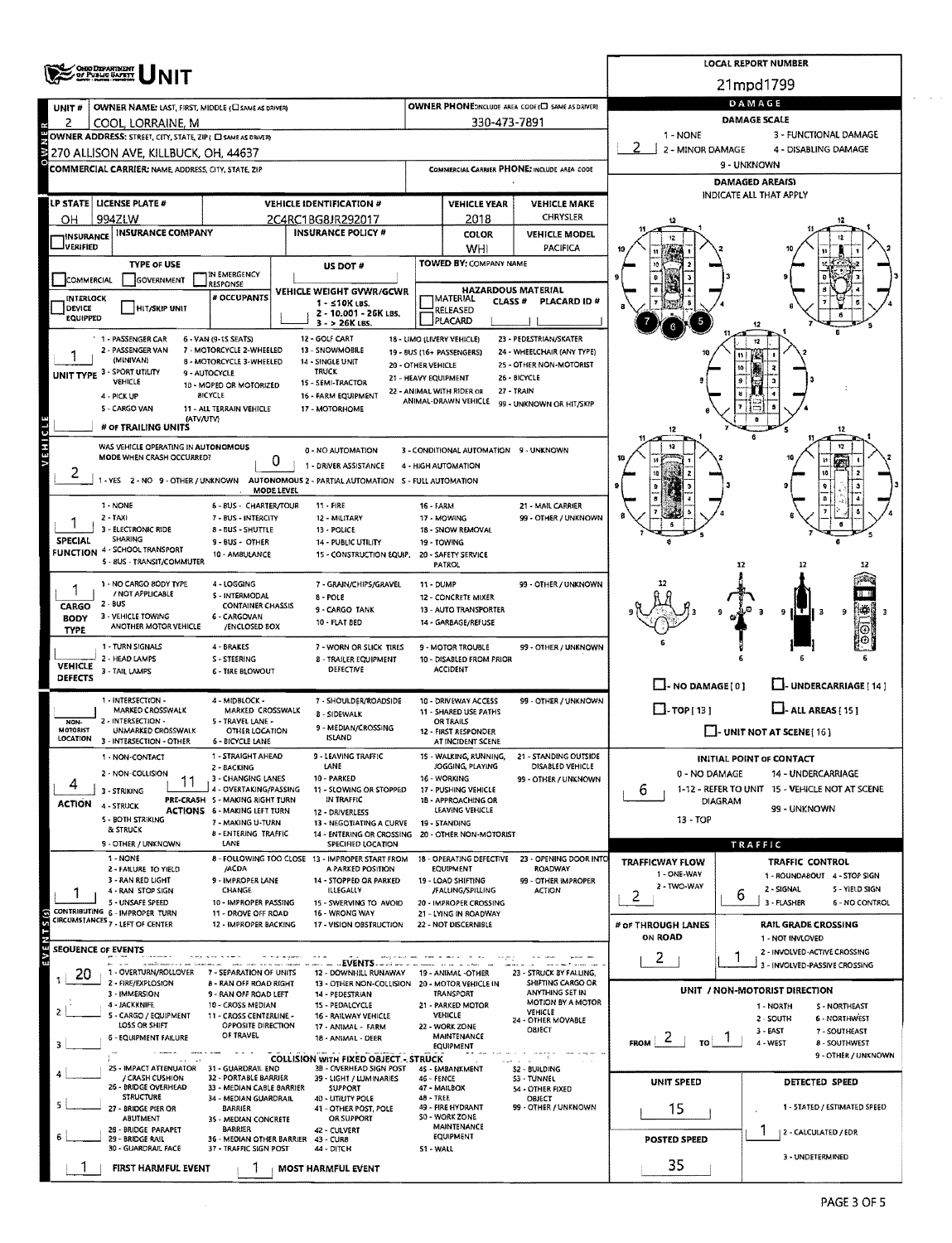| <b>OHIO DEPARTMENT</b><br>OF PUBLIC SAFETY                                                  |                                                                                                    |                                                                |                                                                    |                                                    |                                                                       | <b>LOCAL REPORT NUMBER</b>                                    |  |  |  |  |  |  |
|---------------------------------------------------------------------------------------------|----------------------------------------------------------------------------------------------------|----------------------------------------------------------------|--------------------------------------------------------------------|----------------------------------------------------|-----------------------------------------------------------------------|---------------------------------------------------------------|--|--|--|--|--|--|
|                                                                                             |                                                                                                    |                                                                |                                                                    |                                                    |                                                                       | 21mpd1799                                                     |  |  |  |  |  |  |
| OWNER NAME: LAST, FIRST, MIDDLE (C) SAME AS DRIVERY<br>UNIT#                                |                                                                                                    |                                                                |                                                                    | OWNER PHONE: INCLUDE AREA CODE (C) SAME AS DRIVER) | DAMAGE                                                                |                                                               |  |  |  |  |  |  |
| 2<br>COOL, LORRAINE, M                                                                      |                                                                                                    |                                                                | 330-473-7891                                                       |                                                    | <b>DAMAGE SCALE</b>                                                   |                                                               |  |  |  |  |  |  |
| OWNER ADDRESS; STREET, CITY, STATE, ZIP ( C SAME AS DRIVER)                                 |                                                                                                    |                                                                |                                                                    |                                                    | $1 - NONE$<br>2 - MINOR DAMAGE                                        | 3 - FUNCTIONAL DAMAGE<br>4 - DISABLING DAMAGE                 |  |  |  |  |  |  |
| 270 ALLISON AVE. KILLBUCK, OH. 44637<br>COMMERCIAL CARRIER: NAME, ADDRESS, CITY, STATE, ZIP |                                                                                                    |                                                                |                                                                    | COMMERCIAL CARRIER PHONE: INCLUDE AREA CODE        |                                                                       | 9 - UNKNOWN                                                   |  |  |  |  |  |  |
|                                                                                             |                                                                                                    |                                                                |                                                                    |                                                    | <b>DAMAGED AREAIS)</b>                                                |                                                               |  |  |  |  |  |  |
| LP STATE   LICENSE PLATE #                                                                  | <b>VEHICLE IDENTIFICATION #</b>                                                                    |                                                                | <b>VEHICLE YEAR</b>                                                | <b>VEHICLE MAKE</b>                                |                                                                       | INDICATE ALL THAT APPLY                                       |  |  |  |  |  |  |
| 994ZLW<br>он                                                                                | 2C4RC1BG8JR292017                                                                                  |                                                                | 2018                                                               | CHRYSLER                                           |                                                                       |                                                               |  |  |  |  |  |  |
| <b>INSURANCE COMPANY</b><br><b>INSURANCE</b>                                                | <b>INSURANCE POLICY #</b>                                                                          |                                                                | <b>COLOR</b>                                                       | <b>VEHICLE MODEL</b>                               |                                                                       |                                                               |  |  |  |  |  |  |
| JVERIFIED<br><b>TYPE OF USE</b>                                                             |                                                                                                    |                                                                | WHI<br><b>TOWED BY: COMPANY NAME</b>                               | <b>PACIFICA</b>                                    |                                                                       |                                                               |  |  |  |  |  |  |
| COMMERCIAL<br>GOVERNMENT                                                                    | <b>US DOT #</b><br>IN EMERGENCY<br>RESPONSE                                                        |                                                                |                                                                    |                                                    |                                                                       |                                                               |  |  |  |  |  |  |
| INTERLOCK                                                                                   | VEHICLE WEIGHT GVWR/GCWR                                                                           | <b>HAZARDOUS MATERIAL</b><br><b>MATERIAL</b><br><b>CLASS #</b> | PLACARD ID#                                                        |                                                    |                                                                       |                                                               |  |  |  |  |  |  |
| HIT/SKIP UNIT<br>DEVICE<br>EQUIPPED                                                         | 1 - ≤10K LBS.<br>2 - 10.001 - 26K LBS.                                                             |                                                                | RELEASED<br>PLACARD                                                |                                                    |                                                                       |                                                               |  |  |  |  |  |  |
| 1 - PASSENGER CAR                                                                           | $3 - 26K$ LBS.<br>12 - GOLF CART<br>6 - VAN (9-15 SEATS)                                           | 18 - LIMO (LIVERY VEHICLE)                                     |                                                                    | 23 - PEDESTRIAN/SKATER                             |                                                                       |                                                               |  |  |  |  |  |  |
| 2 - PASSENGER VAN                                                                           | 7 - MOTORCYCLE 2-WHEELED<br>13 - SNOWMOBILE                                                        | 19 - BUS (16+ PASSENGERS)                                      |                                                                    | 24 - WHEELCHAIR (ANY TYPE)                         |                                                                       |                                                               |  |  |  |  |  |  |
| (MINIVAN)<br>UNIT TYPE 3 - SPORT UTILITY<br>9 - AUTOCYCLE                                   | 8 - MOTORCYCLE 3-WHEELED<br>14 - SINGLE UNIT<br>TRUCK                                              | 20 - OTHER VEHICLE                                             |                                                                    | 25 - OTHER NON-MOTORIST                            |                                                                       |                                                               |  |  |  |  |  |  |
| VEHICLE                                                                                     | 15 - SEMI-TRACTOR<br>10 - MOPED OR MOTORIZED<br><b>BICYCLE</b>                                     | 21 - HEAVY EQUIPMENT<br>22 - ANIMAL WITH RIDER OR              |                                                                    | 26 - BICYCLE<br>27 - TRAIN                         |                                                                       |                                                               |  |  |  |  |  |  |
| 4 - PICK UP<br>5 - CARGO VAN                                                                | 16 - FARM EQUIPMENT<br>11 - ALL TERRAIN VEHICLE<br>17 - MOTORHOME                                  |                                                                | ANIMAL-DRAWN VEHICLE                                               | 99 - UNKNOWN OR HIT/SKIP                           |                                                                       |                                                               |  |  |  |  |  |  |
| (ATV/UTV)<br># OF TRAILING UNITS                                                            |                                                                                                    |                                                                |                                                                    |                                                    | 12                                                                    | 12                                                            |  |  |  |  |  |  |
| VEHICL<br>WAS VEHICLE OPERATING IN AUTONOMOUS                                               | 0 - NO AUTOMATION                                                                                  |                                                                | 3 - CONDITIONAL AUTOMATION 9 - UNKNOWN                             |                                                    |                                                                       | 12                                                            |  |  |  |  |  |  |
| MODE WHEN CRASH OCCURRED?                                                                   | 0<br>1 - DRIVER ASSISTANCE                                                                         |                                                                | 4 - HIGH AUTOMATION                                                |                                                    |                                                                       |                                                               |  |  |  |  |  |  |
| ۷<br>1 - YES 2 - NO 9 - OTHER / UNKNOWN                                                     | AUTONOMOUS 2 - PARTIAL AUTOMATION S - FULL AUTOMATION                                              |                                                                |                                                                    |                                                    |                                                                       |                                                               |  |  |  |  |  |  |
| 1 - NONE                                                                                    | MODE LEVEL<br>6 - BUS - CHARTER/TOUR<br>$11 - FIRE$                                                | <b>16 - FARM</b>                                               |                                                                    | 21 - MAIL CARRIER                                  |                                                                       |                                                               |  |  |  |  |  |  |
| 2 - TAXI                                                                                    | 7 - BUS - INTERCITY<br>12 - MILITARY                                                               |                                                                | 17 - MOWING                                                        | 99 - OTHER / UNKNOWN                               |                                                                       |                                                               |  |  |  |  |  |  |
| 3 - ELECTRONIC RIDE<br>SHARING<br><b>SPECIAL</b>                                            | <b>B - BUS - SHUTTLE</b><br>13 - POLICE<br>9 - BUS - OTHER<br>14 - PUBLIC UTILITY                  |                                                                | 18 - SNOW REMOVAL<br>19 - TOWING                                   |                                                    |                                                                       |                                                               |  |  |  |  |  |  |
| <b>FUNCTION 4 - SCHOOL TRANSPORT</b>                                                        | 10 - AMBULANCE                                                                                     | 15 - CONSTRUCTION EQUIP. 20 - SAFETY SERVICE                   |                                                                    |                                                    |                                                                       |                                                               |  |  |  |  |  |  |
| 5 - 8US - TRANSIT/COMMUTER                                                                  |                                                                                                    |                                                                | PATROL                                                             |                                                    |                                                                       | 12<br>12                                                      |  |  |  |  |  |  |
| 1 - NO CARGO BODY TYPE<br>/ NOT APPLICABLE                                                  | 4 - LOGGING<br>7 - GRAIN/CHIPS/GRAVEL<br>5 - INTERMODAL                                            | <b>11 - DUMP</b>                                               | 12 - CONCRETE MIXER                                                | 99 - OTHER / UNKNOWN                               |                                                                       |                                                               |  |  |  |  |  |  |
| 2 - BUS<br>CARGO                                                                            | 8 - POLE<br><b>CONTAINER CHASSIS</b><br>9 - CARGO TANK                                             |                                                                |                                                                    |                                                    | ĦЭ<br>9                                                               |                                                               |  |  |  |  |  |  |
| 3 - VEHICLE TOWING<br><b>BODY</b><br>ANOTHER MOTOR VEHICLE<br><b>TYPE</b>                   | 6 - CARGOVAN<br>10 - FLAT BED<br>/ENCLOSED BOX                                                     |                                                                | 14 - GARBAGE/REFUSE                                                |                                                    |                                                                       | Θ                                                             |  |  |  |  |  |  |
| 1 - TURN SIGNALS                                                                            | 4 - BRAKES<br>7 - WORN OR SLICK TIRES                                                              |                                                                | 9 - MOTOR TROUBLE                                                  | 99 - OTHER / UNKNOWN                               |                                                                       |                                                               |  |  |  |  |  |  |
| 2 - HEAD LAMPS<br><b>VEHICLE</b><br>3 - TAIL LAMPS                                          | S - STEERING<br><b>B - TRAILER EQUIPMENT</b><br>DEFECTIVE<br><b>6 - TIRE BLOWOUT</b>               |                                                                | 10 - DISABLED FROM PRIOR<br><b>ACCIDENT</b>                        |                                                    |                                                                       |                                                               |  |  |  |  |  |  |
| <b>DEFECTS</b>                                                                              |                                                                                                    |                                                                |                                                                    |                                                    | $\Box$ - NO DAMAGE [ 0 ]                                              | LI-UNDERCARRIAGE [14]                                         |  |  |  |  |  |  |
| 1 - INTERSECTION -<br>MARKED CROSSWALK                                                      | 4 - MIDBLOCK -<br>7 - SHOULDER/ROADSIDE<br>MARKED CROSSWALK                                        |                                                                | 10 - DRIVEWAY ACCESS<br><b>11 - SHARED USE PATHS</b>               | 99 - OTHER / UNKNOWN                               | $\Box$ -TOP[13]                                                       | $\Box$ - ALL AREAS [ 15 ]                                     |  |  |  |  |  |  |
| 2 - INTERSECTION -<br>NON-                                                                  | <b>B-SIDEWALK</b><br>5 - TRAVEL LANE -<br>9 - MEDIAN/CROSSING                                      |                                                                | OR TRAILS                                                          |                                                    |                                                                       |                                                               |  |  |  |  |  |  |
| MOTORIST<br>UNMARKED CROSSWALK<br>LOCATION 3 - INTERSECTION - OTHER                         | OTHER LOCATION<br><b>ISLAND</b><br><b>6 - BICYCLE LANE</b>                                         |                                                                | 12 - FIRST RESPONDER<br>AT INCIDENT SCENE                          |                                                    |                                                                       | $\Box$ - UNIT NOT AT SCENE [16]                               |  |  |  |  |  |  |
| 1 - NON-CONTACT                                                                             | 1 - STRAIGHT AHEAD<br>- LEAVING TRAFFIC<br>LANE                                                    |                                                                | <b>WALKING, RUNNING</b><br>JOGGING, PLAYING                        | - STANDING OUTSIDE<br>DISABLED VEHICLE             |                                                                       | INITIAL POINT OF CONTACT                                      |  |  |  |  |  |  |
| 2 - NON-COLLISION<br>11<br>4                                                                | 2 - BACKING<br>10 - PARKED<br>3 - CHANGING LANES                                                   |                                                                | 16 - WORKING                                                       | 99 - OTHER / UNKNOWN                               | 0 - NO DAMAGE<br>14 - UNDERCARRIAGE                                   |                                                               |  |  |  |  |  |  |
| 3 - STRIKING                                                                                | 4 - OVERTAKING/PASSING<br>11 - SLOWING OR STOPPED<br>PRE-CRASH S - MAKING RIGHT TURN<br>IN TRAFFIC |                                                                | 17 - PUSHING VEHICLE<br>18 - APPROACHING OR                        |                                                    | 1-12 - REFER TO UNIT 15 - VEHICLE NOT AT SCENE<br>6<br><b>DIAGRAM</b> |                                                               |  |  |  |  |  |  |
| <b>ACTION</b><br>4 - STRUCK<br>5 - BOTH STRIKING                                            | <b>ACTIONS 6 - MAKING LEFT TURN</b><br>12 - DRIVERLESS                                             |                                                                | LEAVING VEHICLE                                                    |                                                    | 99 - UNKNOWN<br>13 - TOP                                              |                                                               |  |  |  |  |  |  |
| & STRUCK                                                                                    | 7 - MAKING U-TURN<br>13 - NEGOTIATING A CURVE<br>8 - ENTERING TRAFFIC                              |                                                                | 19 - STANDING<br>14 - ENTERING OR CROSSING 20 - OTHER NON-MOTORIST |                                                    |                                                                       |                                                               |  |  |  |  |  |  |
| 9 - OTHER / UNKNOWN<br>1 - NONE                                                             | LANE<br>SPECIFIED LOCATION<br>8 - FOLLOWING TOO CLOSE 13 - IMPROPER START FROM                     |                                                                | 18 - OPERATING DEFECTIVE                                           | 23 - OPENING DOOR INTO                             |                                                                       | TRAFFIC                                                       |  |  |  |  |  |  |
| 2 - FAILURE TO YIELD                                                                        | /ACDA<br>A PARKED POSITION                                                                         |                                                                | EQUIPMENT                                                          | <b>ROADWAY</b>                                     | <b>TRAFFICWAY FLOW</b><br>1 - ONE-WAY                                 | <b>TRAFFIC CONTROL</b><br>1 - ROUNDABOUT 4 - STOP SIGN        |  |  |  |  |  |  |
| 3 - RAN RED LIGHT<br>4 - RAN STOP SIGN                                                      | 9 - IMPROPER LANE<br>14 - STOPPED OR PARKED<br>CHANGE<br>ILLEGALLY                                 |                                                                | 19 - LOAD SHIFTING<br>/FALLING/SPILLING                            | 99 - OTHER IMPROPER<br><b>ACTION</b>               | 2 - TWO-WAY                                                           | 2 - SIGNAL<br>5 - YIELD SIGN<br>ь                             |  |  |  |  |  |  |
| S - UNSAFE SPEED<br>CONTRIBUTING 6 - IMPROPER TURN                                          | 10 - IMPROPER PASSING<br>15 - SWERVING TO AVOID<br>11 - DROVE OFF ROAD<br>16 - WRONG WAY           |                                                                | 20 - IMPROPER CROSSING<br>21 - LYING IN ROADWAY                    |                                                    | 2                                                                     | 3 - FLASHER<br><b>6 - NO CONTROL</b>                          |  |  |  |  |  |  |
| EVENTS <sub>(S)</sub><br>CIRCUMSTANCES <sub>7</sub> LEFT OF CENTER                          | 12 - IMPROPER BACKING<br>17 - VISION OBSTRUCTION                                                   |                                                                | 22 - NOT DISCERNIBLE                                               |                                                    | # of THROUGH LANES                                                    | <b>RAIL GRADE CROSSING</b>                                    |  |  |  |  |  |  |
| SEQUENCE OF EVENTS                                                                          |                                                                                                    |                                                                |                                                                    |                                                    | <b>ON ROAD</b>                                                        | 1 - NOT INVLOVED                                              |  |  |  |  |  |  |
|                                                                                             | $-EVENTS$                                                                                          |                                                                |                                                                    |                                                    | 2                                                                     | 2 - INVOLVED-ACTIVE CROSSING<br>3 - INVOLVED-PASSIVE CROSSING |  |  |  |  |  |  |
| 1 - OVERTURN/ROLLOVER<br>20<br>2 - FIRE/EXPLOSION                                           | 7 - SEPARATION OF UNITS<br>12 - DOWNHILL RUNAWAY<br><b>B - RAN OFF ROAD RIGHT</b>                  | 13 - OTHER NON-COLLISION 20 - MOTOR VEHICLE IN                 | 19 - ANIMAL -OTHER                                                 | 23 - STRUCK BY FALLING,<br>SHIFTING CARGO OR       |                                                                       |                                                               |  |  |  |  |  |  |
| 3 - IMMERSION<br>4 - JACKKNIFE                                                              | 9 - RAN OFF ROAD LEFT<br>14 - PEDESTRIAN<br>10 - CROSS MEDIAN<br>15 - PEDALCYCLE                   |                                                                | TRANSPORT<br>21 - PARKED MOTOR                                     | ANYTHING SET IN<br>MOTION BY A MOTOR               |                                                                       | UNIT / NON-MOTORIST DIRECTION<br>1 - NORTH<br>5 - NORTHEAST   |  |  |  |  |  |  |
| 5 - CARGO / EQUIPMENT                                                                       | 11 - CROSS CENTERLINE -<br>16 - RAILWAY VEHICLE                                                    |                                                                | VEHICLE                                                            | VEHICLE<br>24 - OTHER MOVABLE                      |                                                                       | <b>6 - NORTHWEST</b><br>2 - SOUTH                             |  |  |  |  |  |  |
| LOSS OR SHIFT<br><b>6 - EQUIPMENT FAILURE</b>                                               | OPPOSITE DIRECTION<br>17 - ANIMAL - FARM<br>OF TRAVEL<br>18 - ANIMAL - DEER                        |                                                                | 22 - WORK ZONE<br>MAINTENANCE                                      | <b>OBJECT</b>                                      | ۷<br><b>FROM</b><br>TO                                                | 3 - EAST<br>7 - SOUTHEAST<br>4 - WEST<br>8 - SOUTHWEST        |  |  |  |  |  |  |
| $\rightarrow$ 2                                                                             | <b>COLLISION WITH FIXED OBJECT. - STRUCK</b>                                                       |                                                                | EQUIPMENT                                                          | -8                                                 |                                                                       | 9 - OTHER / UNKNOWN                                           |  |  |  |  |  |  |
| 25 - IMPACT ATTENUATOR 31 - GUARDRAIL END<br>/ CRASH CUSHION                                | 3B - OVERHEAD 5IGN POST<br>32 - PORTABLE BARRIER<br>39 - LIGHT / LUMINARIES                        | 46 - FENCE                                                     | 45 - EMBANKMENT                                                    | 52 - BUILDING<br>53 - TUNNEL                       |                                                                       |                                                               |  |  |  |  |  |  |
| 26 - BRIDGE OVERHEAD<br><b>STRUCTURE</b>                                                    | 33 - MEDIAN CABLE BARRIER<br><b>SUPPORT</b><br>34 - MEDIAN GUARDRAIL<br>40 - LITILITY POLE         | <b>48 - TREE</b>                                               | 47 - MAILBOX                                                       | 54 - OTHER FIXED<br>OBJECT                         | UNIT SPEED                                                            | DETECTED SPEED                                                |  |  |  |  |  |  |
| 27 - BRIDGE PIER OR                                                                         | <b>BARRIER</b><br>41 - OTHER POST, POLE                                                            |                                                                | 49 - FIRE HYDRANT                                                  | 99 - OTHER / UNKNOWN                               | 15                                                                    | 1 - 5TATED / ESTIMATED SPEED                                  |  |  |  |  |  |  |
| ABUTMENT<br>28 - BRIDGE PARAPET                                                             | OR SUPPORT<br>35 - MEDIAN CONCRETE<br><b>BARRIER</b><br>42 - CULVERT                               |                                                                | 50 - WORK ZONE<br>MAINTENANCE                                      |                                                    | 2 - CALCULATED / EDR                                                  |                                                               |  |  |  |  |  |  |
| 29 - BRIDGE RAIL<br>30 - GUARDRAIL FACE                                                     | 36 - MEDIAN OTHER BARRIER 43 - CURB<br>37 - TRAFFIC SIGN POST<br>44 - DITCH                        | 51 - WALL                                                      | EQUIPMENT                                                          |                                                    | POSTED SPEED                                                          |                                                               |  |  |  |  |  |  |
| FIRST HARMFUL EVENT                                                                         | MOST HARMFUL EVENT                                                                                 |                                                                |                                                                    |                                                    | 35                                                                    | 3 - UNDETERMINED                                              |  |  |  |  |  |  |

 $\sim$